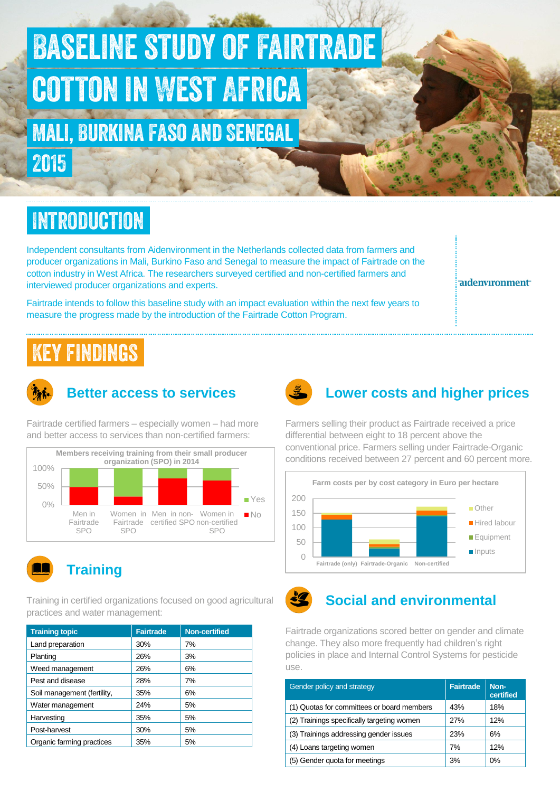# Baseline study of Fairtrade cotton in West Africa

Mali, Burkina Faso and Senegal 2015

## **INTRODUCTION**

Independent consultants from Aidenvironment in the Netherlands collected data from farmers and producer organizations in Mali, Burkino Faso and Senegal to measure the impact of Fairtrade on the cotton industry in West Africa. The researchers surveyed certified and non-certified farmers and interviewed producer organizations and experts.

Fairtrade intends to follow this baseline study with an impact evaluation within the next few years to measure the progress made by the introduction of the Fairtrade Cotton Program.

aidenvironment

## Key findings



#### **Better access to services**

Fairtrade certified farmers – especially women – had more and better access to services than non-certified farmers:





#### **Training**

Training in certified organizations focused on good agricultural practices and water management:

| <b>Training topic</b>       | <b>Fairtrade</b> | <b>Non-certified</b> |
|-----------------------------|------------------|----------------------|
| Land preparation            | 30%              | 7%                   |
| Planting                    | 26%              | 3%                   |
| Weed management             | 26%              | 6%                   |
| Pest and disease            | 28%              | 7%                   |
| Soil management (fertility, | 35%              | 6%                   |
| Water management            | 24%              | 5%                   |
| Harvesting                  | 35%              | 5%                   |
| Post-harvest                | 30%              | 5%                   |
| Organic farming practices   | 35%              | 5%                   |



### **Lower costs and higher prices**

Farmers selling their product as Fairtrade received a price differential between eight to 18 percent above the conventional price. Farmers selling under Fairtrade-Organic conditions received between 27 percent and 60 percent more.



#### **Social and environmental**

Fairtrade organizations scored better on gender and climate change. They also more frequently had children's right policies in place and Internal Control Systems for pesticide use.

| Gender policy and strategy                 | <b>Fairtrade</b> | Non-<br>certified |
|--------------------------------------------|------------------|-------------------|
| (1) Quotas for committees or board members | 43%              | 18%               |
| (2) Trainings specifically targeting women | 27%              | 12%               |
| (3) Trainings addressing gender issues     | 23%              | 6%                |
| (4) Loans targeting women                  | 7%               | 12%               |
| (5) Gender quota for meetings              | 3%               | 0%                |